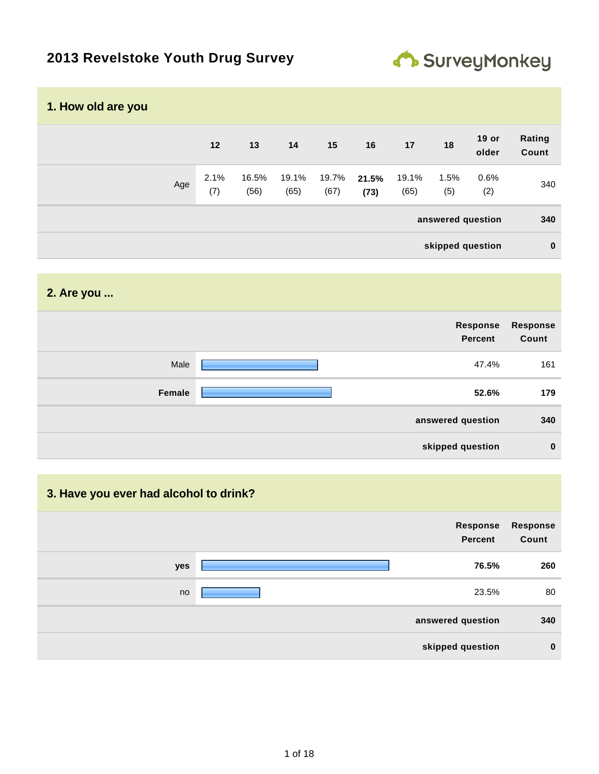# **2013 Revelstoke Youth Drug Survey**



| 1. How old are you |     |             |               |               |               |               |               |                   |                |                 |
|--------------------|-----|-------------|---------------|---------------|---------------|---------------|---------------|-------------------|----------------|-----------------|
|                    |     | 12          | 13            | 14            | 15            | 16            | 17            | 18                | 19 or<br>older | Rating<br>Count |
|                    | Age | 2.1%<br>(7) | 16.5%<br>(56) | 19.1%<br>(65) | 19.7%<br>(67) | 21.5%<br>(73) | 19.1%<br>(65) | 1.5%<br>(5)       | 0.6%<br>(2)    | 340             |
|                    |     |             |               |               |               |               |               | answered question |                | 340             |
|                    |     |             |               |               |               |               |               | skipped question  |                | $\bf{0}$        |

#### **2. Are you ...**

|        | Response<br><b>Percent</b> | <b>Response</b><br>Count |
|--------|----------------------------|--------------------------|
| Male   | 47.4%                      | 161                      |
| Female | 52.6%                      | 179                      |
|        | answered question          | 340                      |
|        | skipped question           | $\bf{0}$                 |

#### **3. Have you ever had alcohol to drink?**

|     | Response<br>Percent | Response<br>Count |
|-----|---------------------|-------------------|
| yes | 76.5%               | 260               |
| no  | 23.5%               | 80                |
|     | answered question   | 340               |
|     | skipped question    | $\bf{0}$          |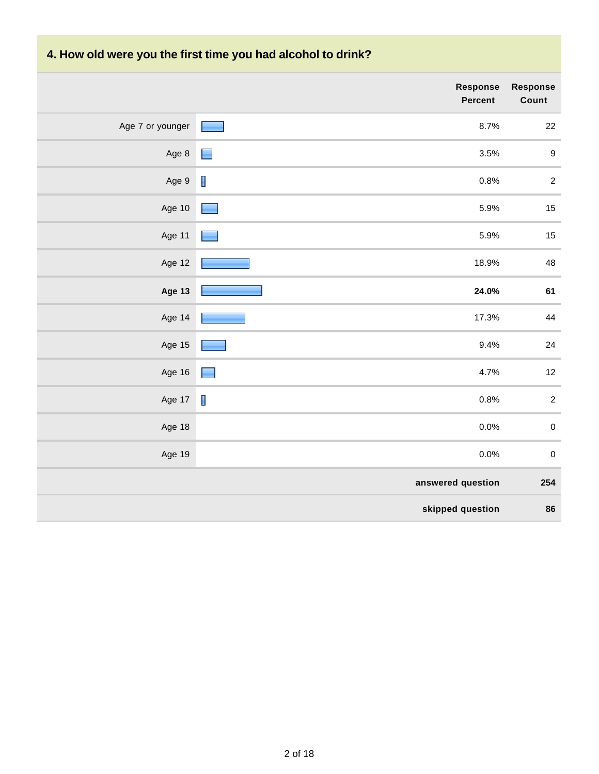# **4. How old were you the first time you had alcohol to drink?**

|                  | Response<br>Percent              | <b>Response</b><br>Count |
|------------------|----------------------------------|--------------------------|
| Age 7 or younger | 8.7%<br><b>Common</b>            | 22                       |
| Age 8            | 3.5%<br>$\blacksquare$           | $\boldsymbol{9}$         |
| Age 9            | $\mathbf{r}$<br>0.8%             | $\overline{2}$           |
| Age 10           | 5.9%                             | 15                       |
| Age 11           | 5.9%                             | 15                       |
| Age 12           | 18.9%                            | 48                       |
| Age 13           | 24.0%                            | 61                       |
| Age 14           | 17.3%                            | $\bf 44$                 |
| Age 15           | 9.4%                             | $24\,$                   |
| Age 16           | 4.7%                             | $12\,$                   |
| Age 17           | $\overline{\phantom{a}}$<br>0.8% | $\sqrt{2}$               |
| Age 18           | 0.0%                             | $\pmb{0}$                |
| Age 19           | 0.0%                             | $\pmb{0}$                |
|                  | answered question                | 254                      |
|                  | skipped question                 | 86                       |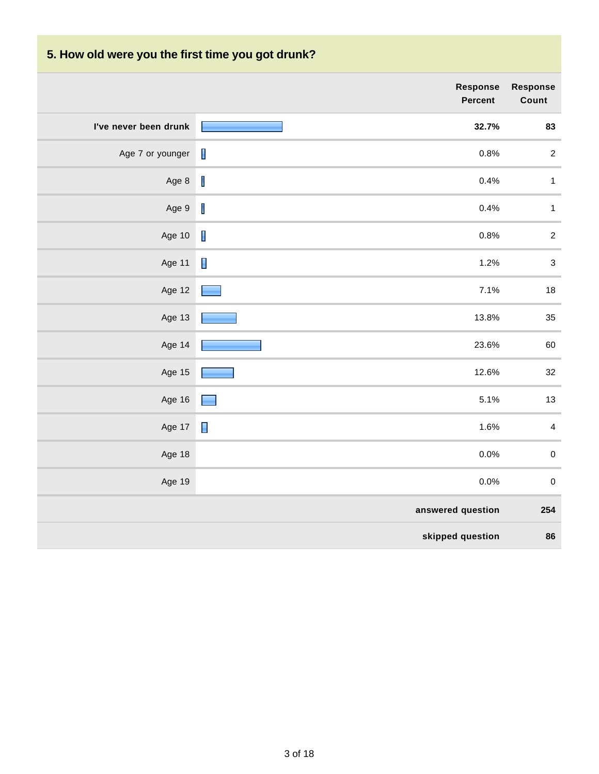# **5. How old were you the first time you got drunk?**

|                       | Response<br>Percent                                                                                                                                                                                                                    | <b>Response</b><br>Count  |
|-----------------------|----------------------------------------------------------------------------------------------------------------------------------------------------------------------------------------------------------------------------------------|---------------------------|
| I've never been drunk | 32.7%                                                                                                                                                                                                                                  | 83                        |
| Age 7 or younger      | $\blacksquare$<br>0.8%                                                                                                                                                                                                                 | $\sqrt{2}$                |
| Age 8                 | $\mathbf I$<br>0.4%                                                                                                                                                                                                                    | $\mathbf{1}$              |
| Age 9                 | $\mathsf I$<br>0.4%                                                                                                                                                                                                                    | $\mathbf{1}$              |
| Age 10                | $\blacksquare$<br>0.8%                                                                                                                                                                                                                 | $\sqrt{2}$                |
| Age 11                | $\blacksquare$<br>1.2%                                                                                                                                                                                                                 | $\ensuremath{\mathsf{3}}$ |
| Age 12                | 7.1%                                                                                                                                                                                                                                   | 18                        |
| Age 13                | 13.8%                                                                                                                                                                                                                                  | 35                        |
| Age 14                | 23.6%                                                                                                                                                                                                                                  | 60                        |
| Age 15                | 12.6%                                                                                                                                                                                                                                  | 32                        |
| Age 16                | 5.1%<br>e e de la construcción de la construcción de la construcción de la construcción de la construcción de la construcción de la construcción de la construcción de la construcción de la construcción de la construcción de la con | 13                        |
| Age 17                | Γ<br>1.6%                                                                                                                                                                                                                              | $\overline{\mathbf{4}}$   |
| Age 18                | 0.0%                                                                                                                                                                                                                                   | $\pmb{0}$                 |
| Age 19                | 0.0%                                                                                                                                                                                                                                   | $\pmb{0}$                 |
|                       | answered question                                                                                                                                                                                                                      | 254                       |
|                       | skipped question                                                                                                                                                                                                                       | 86                        |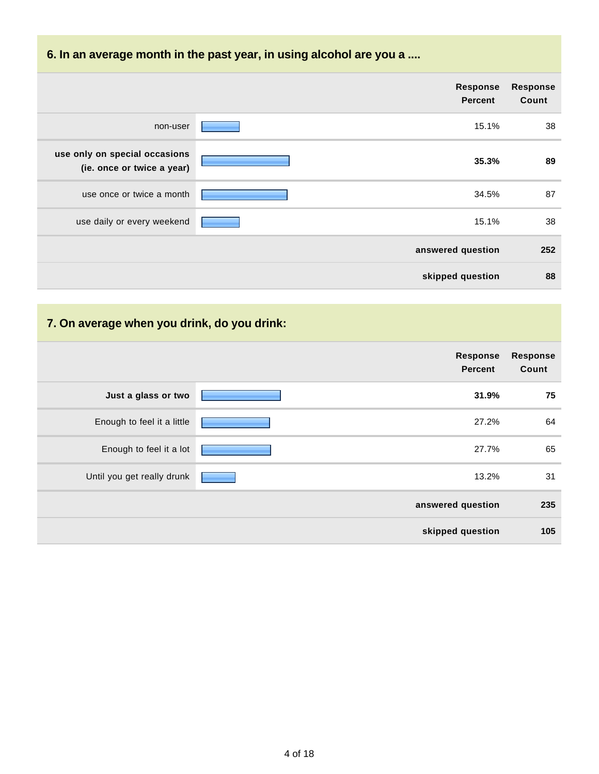### **6. In an average month in the past year, in using alcohol are you a ....**

|                                                             | <b>Response</b><br><b>Percent</b> | Response<br>Count |
|-------------------------------------------------------------|-----------------------------------|-------------------|
| non-user                                                    | 15.1%                             | 38                |
| use only on special occasions<br>(ie. once or twice a year) | 35.3%                             | 89                |
| use once or twice a month                                   | 34.5%                             | 87                |
| use daily or every weekend                                  | 15.1%                             | 38                |
|                                                             | answered question                 | 252               |
|                                                             | skipped question                  | 88                |

### **7. On average when you drink, do you drink:**

|                            | <b>Response</b><br>Percent | <b>Response</b><br>Count |
|----------------------------|----------------------------|--------------------------|
| Just a glass or two        | 31.9%                      | 75                       |
| Enough to feel it a little | 27.2%                      | 64                       |
| Enough to feel it a lot    | 27.7%                      | 65                       |
| Until you get really drunk | 13.2%                      | 31                       |
|                            | answered question          | 235                      |
|                            | skipped question           | 105                      |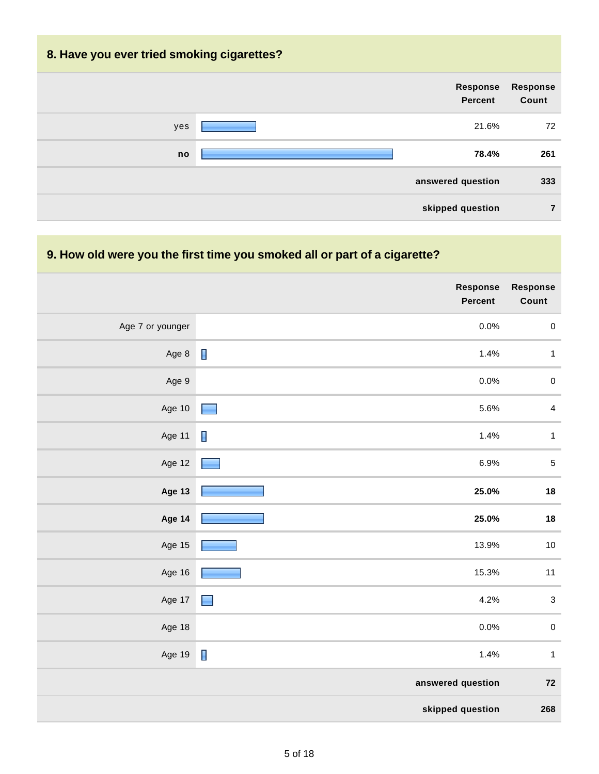# **8. Have you ever tried smoking cigarettes? Response Percent Response Count** yes 21.6% 72 **no 78.4% 261 answered question 333 skipped question 7**

#### **9. How old were you the first time you smoked all or part of a cigarette?**

|                  | Response<br>Percent    | Response<br>Count       |
|------------------|------------------------|-------------------------|
| Age 7 or younger | 0.0%                   | $\pmb{0}$               |
| Age 8            | $\blacksquare$<br>1.4% | $\mathbf{1}$            |
| Age 9            | 0.0%                   | $\pmb{0}$               |
| Age 10           | 5.6%<br>٠              | $\overline{\mathbf{4}}$ |
| Age 11           | I<br>1.4%              | $\mathbf{1}$            |
| Age 12           | 6.9%                   | $\,$ 5 $\,$             |
| <b>Age 13</b>    | 25.0%                  | 18                      |
| Age 14           | 25.0%                  | 18                      |
| Age 15           | 13.9%                  | $10$                    |
| Age 16           | 15.3%                  | 11                      |
| Age 17           | 4.2%<br>٠              | $\sqrt{3}$              |
| Age 18           | 0.0%                   | $\pmb{0}$               |
| Age 19           | $\blacksquare$<br>1.4% | $\mathbf{1}$            |
|                  | answered question      | $\bf 72$                |
|                  | skipped question       | 268                     |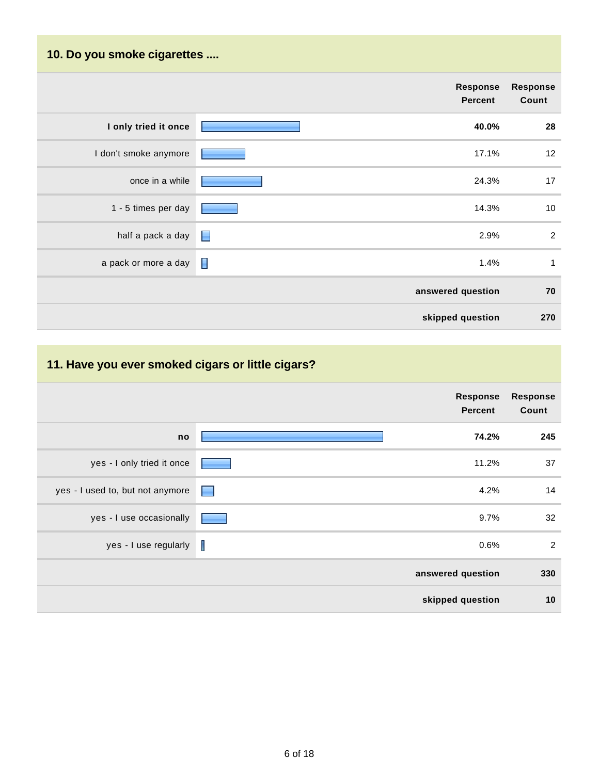# **10. Do you smoke cigarettes .... Response Percent Response Count I only tried it once 40.0% 28** I don't smoke anymore **17.1%** 12 once in a while **24.3%** 17 1 - 5 times per day **14.3%** 10 half a pack a day  $\Box$ a pack or more a day  $\Box$ **answered question 70 skipped question 270**

#### **11. Have you ever smoked cigars or little cigars?**

|                                   | <b>Response</b><br><b>Percent</b> | <b>Response</b><br>Count |
|-----------------------------------|-----------------------------------|--------------------------|
| no                                | 74.2%                             | 245                      |
| yes - I only tried it once        | 11.2%                             | 37                       |
| yes - I used to, but not anymore  | 4.2%                              | 14                       |
| yes - I use occasionally          | 9.7%                              | 32                       |
| yes - I use regularly $\ \cdot\ $ | 0.6%                              | $\overline{2}$           |
|                                   | answered question                 | 330                      |
|                                   | skipped question                  | 10                       |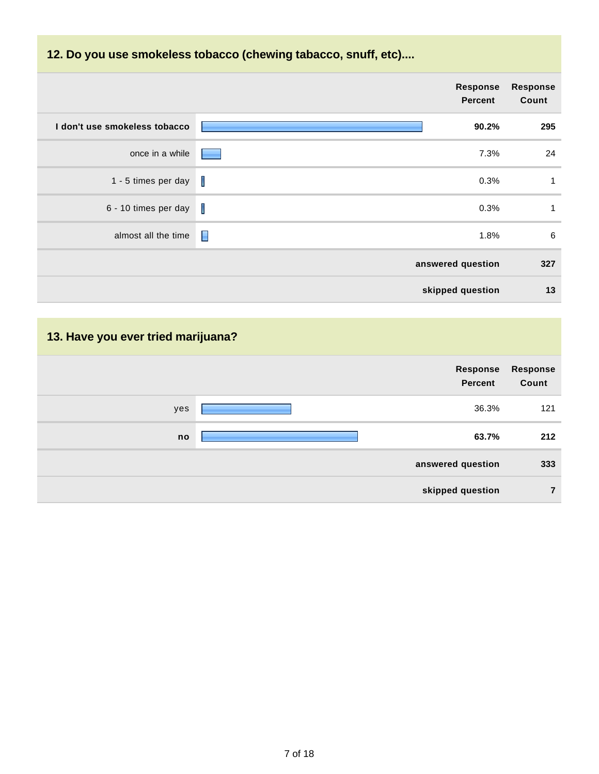### **12. Do you use smokeless tobacco (chewing tabacco, snuff, etc)....**

|                               | <b>Response</b><br><b>Percent</b> | <b>Response</b><br>Count |
|-------------------------------|-----------------------------------|--------------------------|
| I don't use smokeless tobacco | 90.2%                             | 295                      |
| once in a while               | 7.3%                              | 24                       |
| 1 - 5 times per day           | I<br>0.3%                         | $\mathbf{1}$             |
| 6 - 10 times per day          | T<br>0.3%                         | $\mathbf{1}$             |
| almost all the time           | $\blacksquare$<br>1.8%            | 6                        |
|                               | answered question                 | 327                      |
|                               | skipped question                  | 13                       |

# **13. Have you ever tried marijuana?**

|     | <b>Response</b><br>Percent | <b>Response</b><br>Count |
|-----|----------------------------|--------------------------|
| yes | 36.3%                      | 121                      |
| no  | 63.7%                      | 212                      |
|     | answered question          | 333                      |
|     | skipped question           | $\overline{7}$           |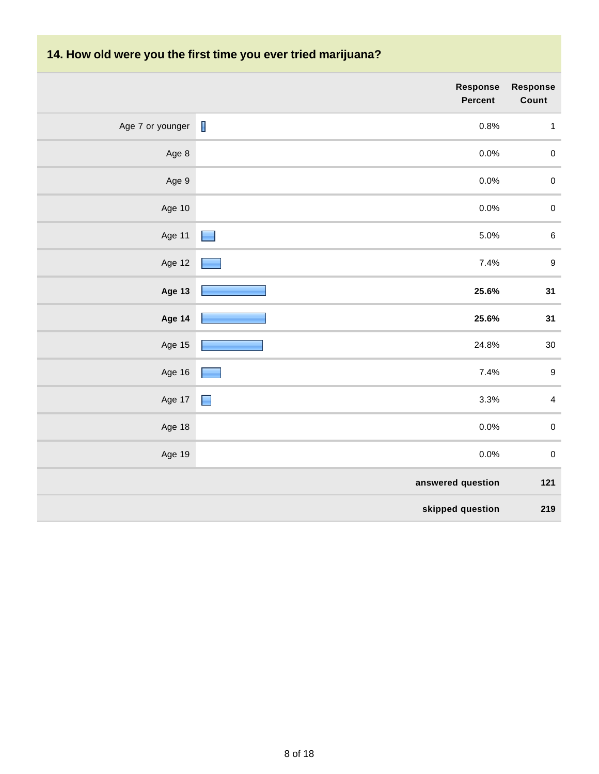### **14. How old were you the first time you ever tried marijuana?**

|                  | <b>Response</b><br>Percent       | <b>Response</b><br>Count |
|------------------|----------------------------------|--------------------------|
| Age 7 or younger | $\overline{\phantom{a}}$<br>0.8% | $\mathbf{1}$             |
| Age 8            | 0.0%                             | $\pmb{0}$                |
| Age 9            | 0.0%                             | $\pmb{0}$                |
| Age 10           | 0.0%                             | $\pmb{0}$                |
| Age 11           | 5.0%<br>$\blacksquare$           | $\,6\,$                  |
| Age 12           | 7.4%                             | 9                        |
| Age 13           | 25.6%                            | 31                       |
| Age 14           | 25.6%                            | 31                       |
| Age 15           | 24.8%                            | $30\,$                   |
| Age 16           | 7.4%                             | $\boldsymbol{9}$         |
| Age 17           | $\blacksquare$<br>3.3%           | $\overline{4}$           |
| Age 18           | 0.0%                             | $\pmb{0}$                |
| Age 19           | 0.0%                             | $\mathbf 0$              |
|                  | answered question                | 121                      |
|                  | skipped question                 | 219                      |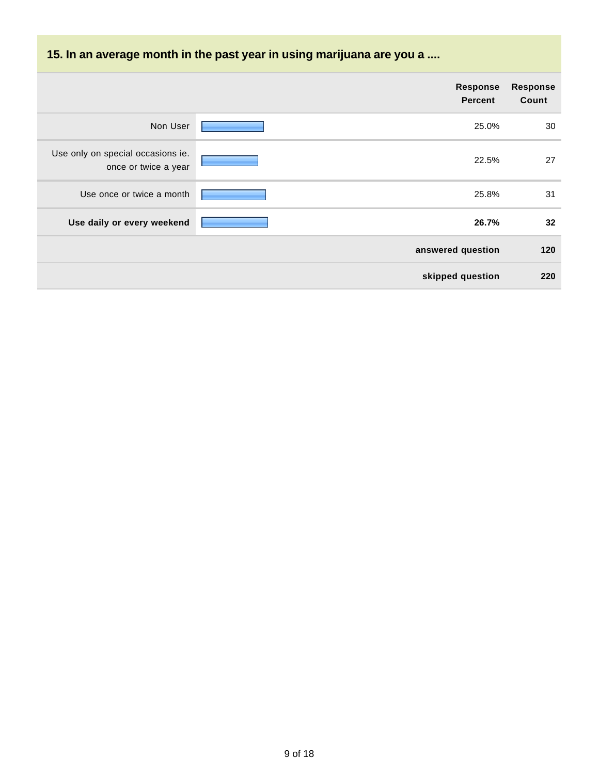# **15. In an average month in the past year in using marijuana are you a ....**

|                                                           | <b>Response</b><br><b>Percent</b> | <b>Response</b><br>Count |
|-----------------------------------------------------------|-----------------------------------|--------------------------|
| Non User                                                  | 25.0%                             | 30                       |
| Use only on special occasions ie.<br>once or twice a year | 22.5%                             | 27                       |
| Use once or twice a month                                 | 25.8%                             | 31                       |
| Use daily or every weekend                                | 26.7%                             | 32                       |
|                                                           | answered question                 | 120                      |
|                                                           | skipped question                  | 220                      |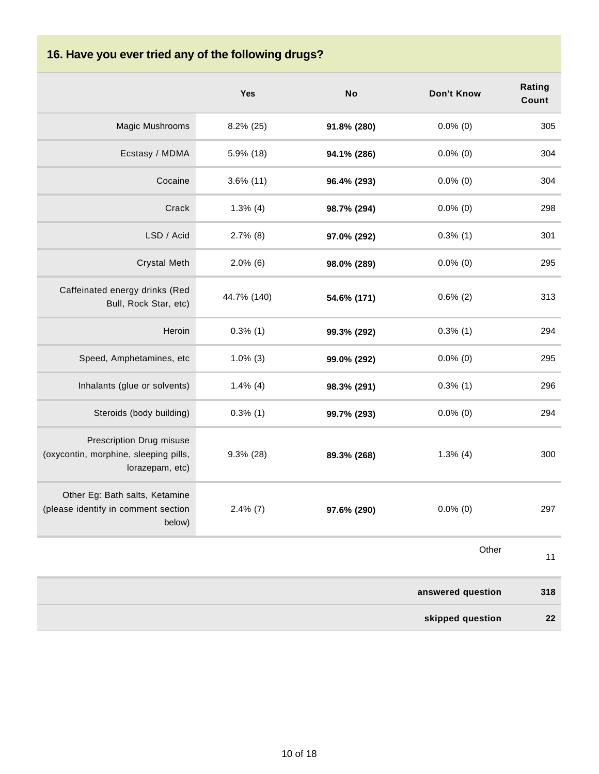# **16. Have you ever tried any of the following drugs?**

|                                                                                      | Yes          | <b>No</b>   | <b>Don't Know</b> | Rating<br>Count |
|--------------------------------------------------------------------------------------|--------------|-------------|-------------------|-----------------|
| Magic Mushrooms                                                                      | 8.2% (25)    | 91.8% (280) | $0.0\%$ (0)       | 305             |
| Ecstasy / MDMA                                                                       | 5.9% (18)    | 94.1% (286) | $0.0\%$ (0)       | 304             |
| Cocaine                                                                              | $3.6\%$ (11) | 96.4% (293) | $0.0\%$ (0)       | 304             |
| Crack                                                                                | $1.3\%$ (4)  | 98.7% (294) | $0.0\%$ (0)       | 298             |
| LSD / Acid                                                                           | $2.7\%$ (8)  | 97.0% (292) | $0.3\%$ (1)       | 301             |
| <b>Crystal Meth</b>                                                                  | $2.0\%$ (6)  | 98.0% (289) | $0.0\%$ (0)       | 295             |
| Caffeinated energy drinks (Red<br>Bull, Rock Star, etc)                              | 44.7% (140)  | 54.6% (171) | $0.6\%$ (2)       | 313             |
| Heroin                                                                               | $0.3\%$ (1)  | 99.3% (292) | $0.3\%$ (1)       | 294             |
| Speed, Amphetamines, etc                                                             | $1.0\%$ (3)  | 99.0% (292) | $0.0\%$ (0)       | 295             |
| Inhalants (glue or solvents)                                                         | $1.4\%$ (4)  | 98.3% (291) | $0.3\%$ (1)       | 296             |
| Steroids (body building)                                                             | $0.3\%$ (1)  | 99.7% (293) | $0.0\%$ (0)       | 294             |
| Prescription Drug misuse<br>(oxycontin, morphine, sleeping pills,<br>lorazepam, etc) | $9.3\%$ (28) | 89.3% (268) | $1.3\%$ (4)       | 300             |
| Other Eg: Bath salts, Ketamine<br>(please identify in comment section<br>below)      | $2.4\%$ (7)  | 97.6% (290) | $0.0\%$ (0)       | 297             |
|                                                                                      |              |             | Other             | 11              |
|                                                                                      |              |             | answered question | 318             |
|                                                                                      |              |             | skipped question  | 22              |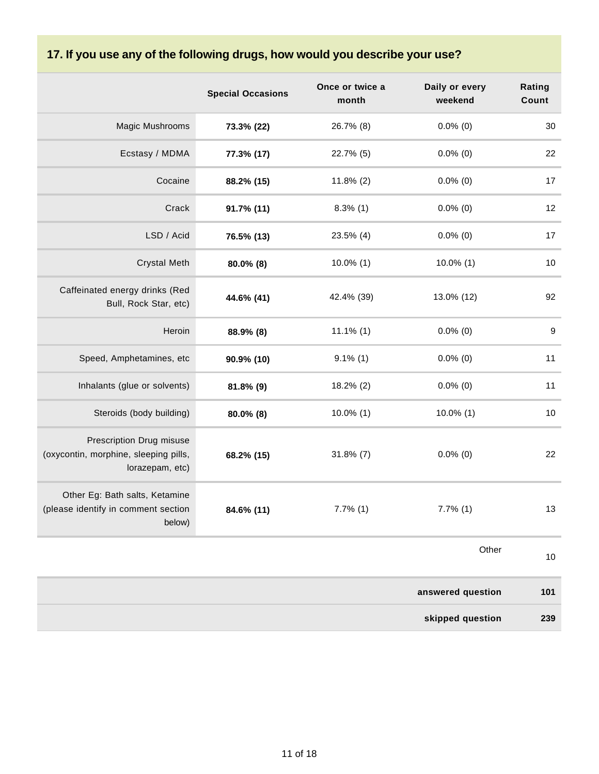# **17. If you use any of the following drugs, how would you describe your use?**

|                                                                                      | <b>Special Occasions</b> | Once or twice a<br>month | Daily or every<br>weekend | Rating<br>Count  |
|--------------------------------------------------------------------------------------|--------------------------|--------------------------|---------------------------|------------------|
| Magic Mushrooms                                                                      | 73.3% (22)               | 26.7% (8)                | $0.0\%$ (0)               | 30               |
| Ecstasy / MDMA                                                                       | 77.3% (17)               | 22.7% (5)                | $0.0\%$ (0)               | 22               |
| Cocaine                                                                              | 88.2% (15)               | $11.8\%$ (2)             | $0.0\%$ (0)               | 17               |
| Crack                                                                                | 91.7% (11)               | $8.3\%$ (1)              | $0.0\%$ (0)               | 12               |
| LSD / Acid                                                                           | 76.5% (13)               | 23.5% (4)                | $0.0\%$ (0)               | 17               |
| <b>Crystal Meth</b>                                                                  | 80.0% (8)                | $10.0\%$ (1)             | $10.0\%$ (1)              | $10\,$           |
| Caffeinated energy drinks (Red<br>Bull, Rock Star, etc)                              | 44.6% (41)               | 42.4% (39)               | 13.0% (12)                | 92               |
| Heroin                                                                               | 88.9% (8)                | $11.1\%$ (1)             | $0.0\%$ (0)               | $\boldsymbol{9}$ |
| Speed, Amphetamines, etc                                                             | 90.9% (10)               | $9.1\%$ (1)              | $0.0\%$ (0)               | 11               |
| Inhalants (glue or solvents)                                                         | 81.8% (9)                | 18.2% (2)                | $0.0\%$ (0)               | 11               |
| Steroids (body building)                                                             | 80.0% (8)                | $10.0\%$ (1)             | $10.0\%$ (1)              | 10               |
| Prescription Drug misuse<br>(oxycontin, morphine, sleeping pills,<br>lorazepam, etc) | 68.2% (15)               | $31.8\%$ (7)             | $0.0\%$ (0)               | 22               |
| Other Eg: Bath salts, Ketamine<br>(please identify in comment section<br>below)      | 84.6% (11)               | $7.7\%$ (1)              | $7.7\%$ (1)               | 13               |
|                                                                                      |                          |                          | Other                     | 10               |
|                                                                                      |                          |                          | answered question         | 101              |
|                                                                                      |                          |                          | skipped question          | 239              |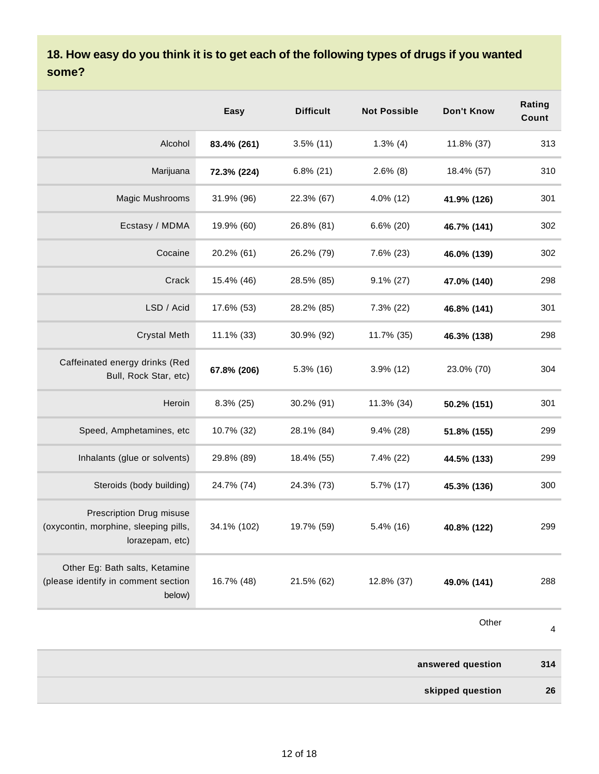#### **18. How easy do you think it is to get each of the following types of drugs if you wanted some?**

|                                                                                      | Easy        | <b>Difficult</b> | <b>Not Possible</b> | Don't Know  | Rating<br>Count |
|--------------------------------------------------------------------------------------|-------------|------------------|---------------------|-------------|-----------------|
| Alcohol                                                                              | 83.4% (261) | $3.5\%$ (11)     | $1.3\%$ (4)         | 11.8% (37)  | 313             |
| Marijuana                                                                            | 72.3% (224) | $6.8\%$ (21)     | $2.6\%$ (8)         | 18.4% (57)  | 310             |
| Magic Mushrooms                                                                      | 31.9% (96)  | 22.3% (67)       | 4.0% (12)           | 41.9% (126) | 301             |
| Ecstasy / MDMA                                                                       | 19.9% (60)  | 26.8% (81)       | $6.6\%$ (20)        | 46.7% (141) | 302             |
| Cocaine                                                                              | 20.2% (61)  | 26.2% (79)       | 7.6% (23)           | 46.0% (139) | 302             |
| Crack                                                                                | 15.4% (46)  | 28.5% (85)       | $9.1\% (27)$        | 47.0% (140) | 298             |
| LSD / Acid                                                                           | 17.6% (53)  | 28.2% (85)       | 7.3% (22)           | 46.8% (141) | 301             |
| <b>Crystal Meth</b>                                                                  | 11.1% (33)  | 30.9% (92)       | 11.7% (35)          | 46.3% (138) | 298             |
| Caffeinated energy drinks (Red<br>Bull, Rock Star, etc)                              | 67.8% (206) | $5.3\%$ (16)     | $3.9\%$ (12)        | 23.0% (70)  | 304             |
| Heroin                                                                               | 8.3% (25)   | 30.2% (91)       | 11.3% (34)          | 50.2% (151) | 301             |
| Speed, Amphetamines, etc                                                             | 10.7% (32)  | 28.1% (84)       | $9.4\%$ (28)        | 51.8% (155) | 299             |
| Inhalants (glue or solvents)                                                         | 29.8% (89)  | 18.4% (55)       | 7.4% (22)           | 44.5% (133) | 299             |
| Steroids (body building)                                                             | 24.7% (74)  | 24.3% (73)       | 5.7% (17)           | 45.3% (136) | 300             |
| Prescription Drug misuse<br>(oxycontin, morphine, sleeping pills,<br>lorazepam, etc) | 34.1% (102) | 19.7% (59)       | 5.4% (16)           | 40.8% (122) | 299             |
| Other Eg: Bath salts, Ketamine<br>(please identify in comment section<br>below)      | 16.7% (48)  | 21.5% (62)       | 12.8% (37)          | 49.0% (141) | 288             |

**Other** 

4

| 314 | answered question |  |
|-----|-------------------|--|
| 26  | skipped question  |  |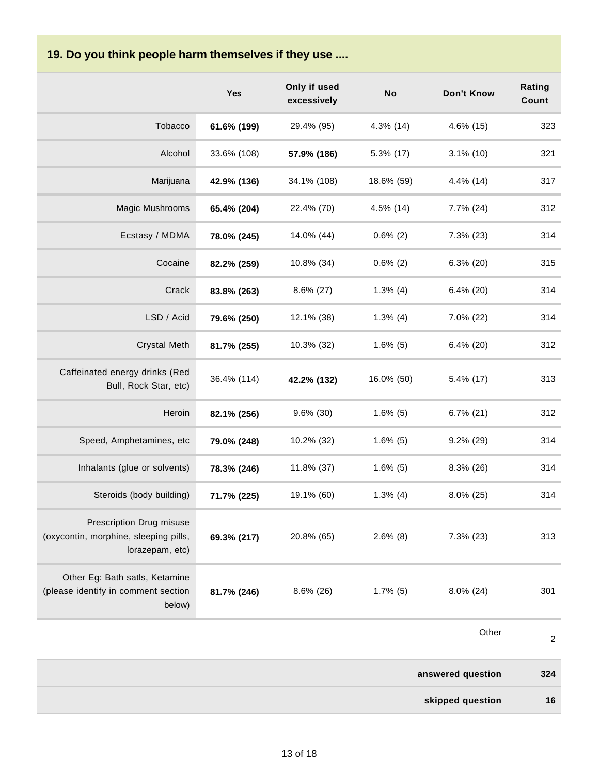#### **19. Do you think people harm themselves if they use ....**

|                                                                                      | <b>Yes</b>  | Only if used<br>excessively | No           | Don't Know        | Rating<br>Count |
|--------------------------------------------------------------------------------------|-------------|-----------------------------|--------------|-------------------|-----------------|
| Tobacco                                                                              | 61.6% (199) | 29.4% (95)                  | $4.3\%$ (14) | 4.6% (15)         | 323             |
| Alcohol                                                                              | 33.6% (108) | 57.9% (186)                 | 5.3% (17)    | $3.1\%$ (10)      | 321             |
| Marijuana                                                                            | 42.9% (136) | 34.1% (108)                 | 18.6% (59)   | 4.4% (14)         | 317             |
| Magic Mushrooms                                                                      | 65.4% (204) | 22.4% (70)                  | $4.5\%$ (14) | 7.7% (24)         | 312             |
| Ecstasy / MDMA                                                                       | 78.0% (245) | 14.0% (44)                  | $0.6\%$ (2)  | $7.3\%$ (23)      | 314             |
| Cocaine                                                                              | 82.2% (259) | 10.8% (34)                  | $0.6\%$ (2)  | $6.3\%$ (20)      | 315             |
| Crack                                                                                | 83.8% (263) | $8.6\%$ (27)                | $1.3\%$ (4)  | $6.4\%$ (20)      | 314             |
| LSD / Acid                                                                           | 79.6% (250) | 12.1% (38)                  | $1.3\%$ (4)  | 7.0% (22)         | 314             |
| <b>Crystal Meth</b>                                                                  | 81.7% (255) | 10.3% (32)                  | $1.6\%$ (5)  | $6.4\%$ (20)      | 312             |
| Caffeinated energy drinks (Red<br>Bull, Rock Star, etc)                              | 36.4% (114) | 42.2% (132)                 | 16.0% (50)   | $5.4\%$ (17)      | 313             |
| Heroin                                                                               | 82.1% (256) | $9.6\%$ (30)                | $1.6\%$ (5)  | $6.7\%$ (21)      | 312             |
| Speed, Amphetamines, etc                                                             | 79.0% (248) | 10.2% (32)                  | $1.6\%$ (5)  | $9.2\%$ (29)      | 314             |
| Inhalants (glue or solvents)                                                         | 78.3% (246) | 11.8% (37)                  | $1.6\%$ (5)  | 8.3% (26)         | 314             |
| Steroids (body building)                                                             | 71.7% (225) | 19.1% (60)                  | $1.3\%$ (4)  | $8.0\%$ (25)      | 314             |
| Prescription Drug misuse<br>(oxycontin, morphine, sleeping pills,<br>lorazepam, etc) | 69.3% (217) | 20.8% (65)                  | $2.6\%$ (8)  | 7.3% (23)         | 313             |
| Other Eg: Bath satls, Ketamine<br>(please identify in comment section<br>below)      | 81.7% (246) | $8.6\%$ (26)                | $1.7\%$ (5)  | $8.0\%$ (24)      | 301             |
|                                                                                      |             |                             |              | Other             | $\overline{c}$  |
|                                                                                      |             |                             |              | answered question | 324             |

**skipped question 16**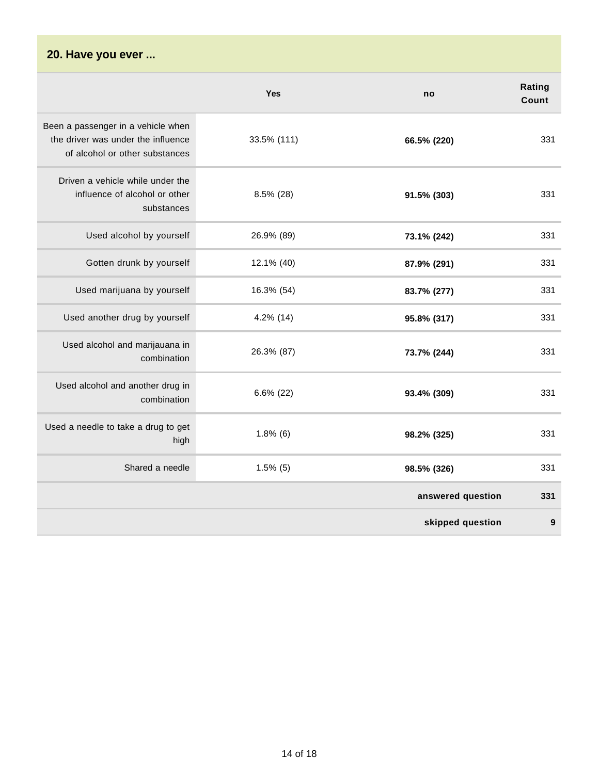#### **20. Have you ever ...**

|                                                                                                            | Yes          | no                | Rating<br>Count |
|------------------------------------------------------------------------------------------------------------|--------------|-------------------|-----------------|
| Been a passenger in a vehicle when<br>the driver was under the influence<br>of alcohol or other substances | 33.5% (111)  | 66.5% (220)       | 331             |
| Driven a vehicle while under the<br>influence of alcohol or other<br>substances                            | 8.5% (28)    | 91.5% (303)       | 331             |
| Used alcohol by yourself                                                                                   | 26.9% (89)   | 73.1% (242)       | 331             |
| Gotten drunk by yourself                                                                                   | 12.1% (40)   | 87.9% (291)       | 331             |
| Used marijuana by yourself                                                                                 | 16.3% (54)   | 83.7% (277)       | 331             |
| Used another drug by yourself                                                                              | $4.2\%$ (14) | 95.8% (317)       | 331             |
| Used alcohol and marijauana in<br>combination                                                              | 26.3% (87)   | 73.7% (244)       | 331             |
| Used alcohol and another drug in<br>combination                                                            | $6.6\%$ (22) | 93.4% (309)       | 331             |
| Used a needle to take a drug to get<br>high                                                                | $1.8\%$ (6)  | 98.2% (325)       | 331             |
| Shared a needle                                                                                            | $1.5\%$ (5)  | 98.5% (326)       | 331             |
|                                                                                                            |              | answered question | 331             |
|                                                                                                            |              | skipped question  | 9               |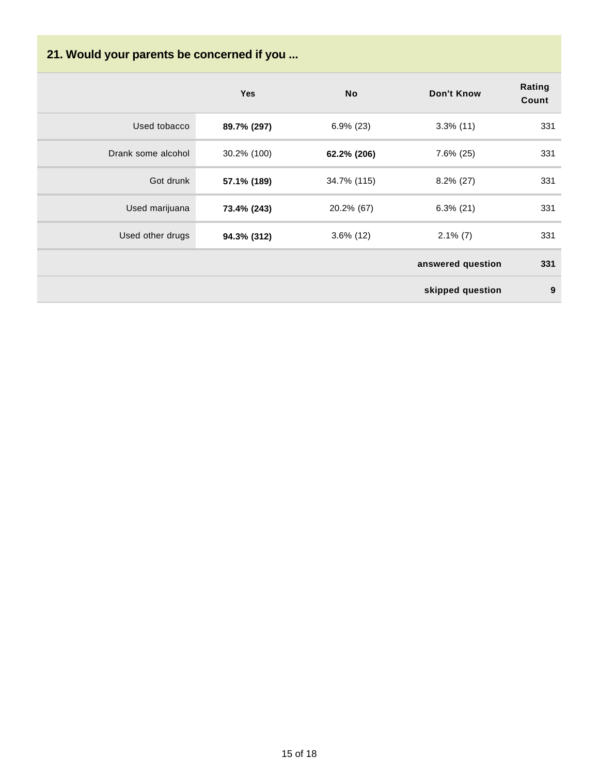# **21. Would your parents be concerned if you ...**

|                    | Yes         | <b>No</b>    | <b>Don't Know</b> | Rating<br>Count |
|--------------------|-------------|--------------|-------------------|-----------------|
| Used tobacco       | 89.7% (297) | $6.9\%$ (23) | $3.3\%$ (11)      | 331             |
| Drank some alcohol | 30.2% (100) | 62.2% (206)  | $7.6\%$ (25)      | 331             |
| Got drunk          | 57.1% (189) | 34.7% (115)  | $8.2\%$ (27)      | 331             |
| Used marijuana     | 73.4% (243) | 20.2% (67)   | $6.3\%$ (21)      | 331             |
| Used other drugs   | 94.3% (312) | $3.6\%$ (12) | $2.1\%$ (7)       | 331             |
|                    |             |              | answered question | 331             |
|                    |             |              | skipped question  | 9               |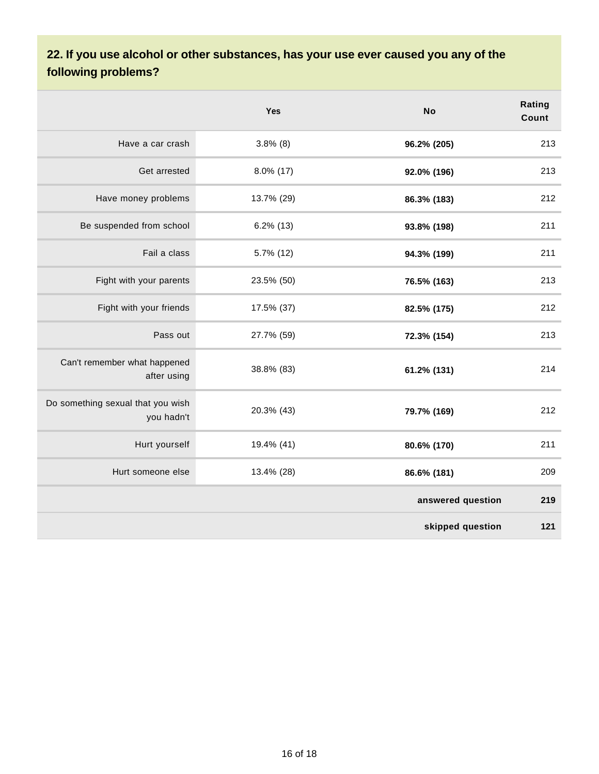### **22. If you use alcohol or other substances, has your use ever caused you any of the following problems?**

|                                                 | Yes          | <b>No</b>         | Rating<br>Count |
|-------------------------------------------------|--------------|-------------------|-----------------|
| Have a car crash                                | $3.8\%$ (8)  | 96.2% (205)       | 213             |
| Get arrested                                    | 8.0% (17)    | 92.0% (196)       | 213             |
| Have money problems                             | 13.7% (29)   | 86.3% (183)       | 212             |
| Be suspended from school                        | $6.2\%$ (13) | 93.8% (198)       | 211             |
| Fail a class                                    | 5.7% (12)    | 94.3% (199)       | 211             |
| Fight with your parents                         | 23.5% (50)   | 76.5% (163)       | 213             |
| Fight with your friends                         | 17.5% (37)   | 82.5% (175)       | 212             |
| Pass out                                        | 27.7% (59)   | 72.3% (154)       | 213             |
| Can't remember what happened<br>after using     | 38.8% (83)   | 61.2% (131)       | 214             |
| Do something sexual that you wish<br>you hadn't | 20.3% (43)   | 79.7% (169)       | 212             |
| Hurt yourself                                   | 19.4% (41)   | 80.6% (170)       | 211             |
| Hurt someone else                               | 13.4% (28)   | 86.6% (181)       | 209             |
|                                                 |              | answered question | 219             |
|                                                 |              | skipped question  | 121             |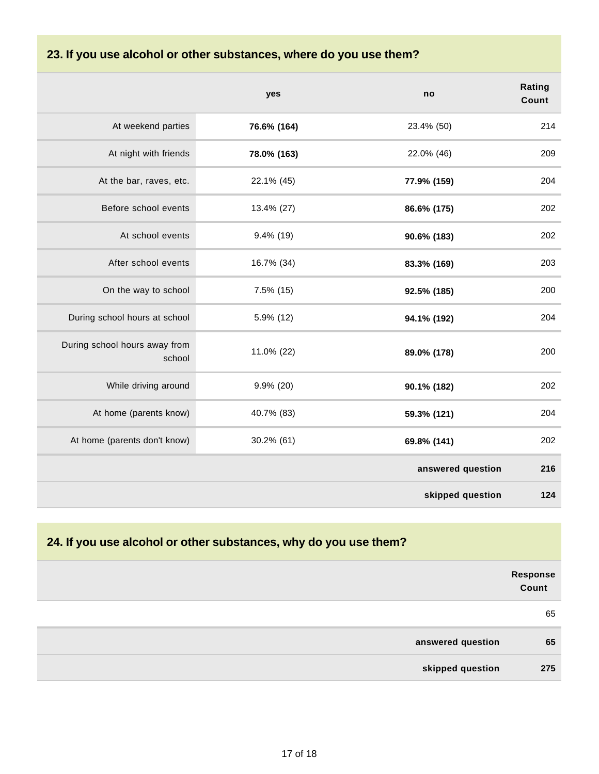#### **23. If you use alcohol or other substances, where do you use them?**

|                                         | yes          | no                | Rating<br>Count |
|-----------------------------------------|--------------|-------------------|-----------------|
| At weekend parties                      | 76.6% (164)  | 23.4% (50)        | 214             |
| At night with friends                   | 78.0% (163)  | 22.0% (46)        | 209             |
| At the bar, raves, etc.                 | 22.1% (45)   | 77.9% (159)       | 204             |
| Before school events                    | 13.4% (27)   | 86.6% (175)       | 202             |
| At school events                        | $9.4\%$ (19) | 90.6% (183)       | 202             |
| After school events                     | 16.7% (34)   | 83.3% (169)       | 203             |
| On the way to school                    | $7.5\%$ (15) | 92.5% (185)       | 200             |
| During school hours at school           | 5.9% (12)    | 94.1% (192)       | 204             |
| During school hours away from<br>school | 11.0% (22)   | 89.0% (178)       | 200             |
| While driving around                    | $9.9\%$ (20) | 90.1% (182)       | 202             |
| At home (parents know)                  | 40.7% (83)   | 59.3% (121)       | 204             |
| At home (parents don't know)            | 30.2% (61)   | 69.8% (141)       | 202             |
|                                         |              | answered question | 216             |
|                                         |              | skipped question  | 124             |

#### **24. If you use alcohol or other substances, why do you use them?**

|                   | Response<br>Count |
|-------------------|-------------------|
|                   | 65                |
| answered question | 65                |
| skipped question  | 275               |